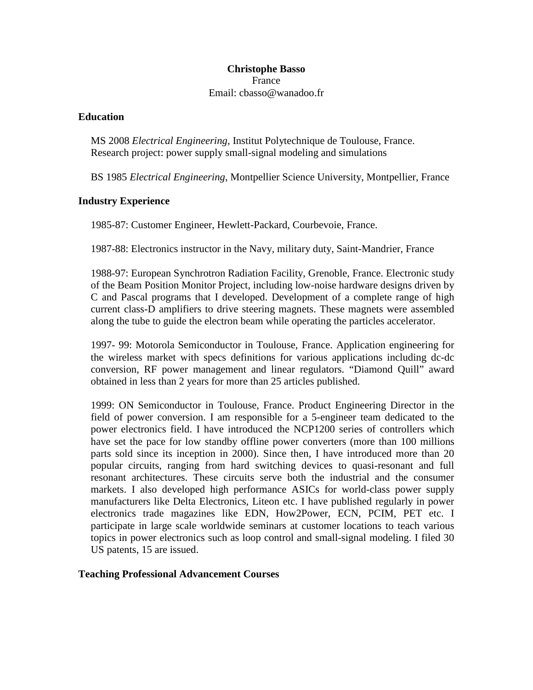#### **Christophe Basso**  France Email: cbasso@wanadoo.fr

#### **Education**

MS 2008 *Electrical Engineering*, Institut Polytechnique de Toulouse, France. Research project: power supply small-signal modeling and simulations

BS 1985 *Electrical Engineering*, Montpellier Science University, Montpellier, France

### **Industry Experience**

1985-87: Customer Engineer, Hewlett-Packard, Courbevoie, France.

1987-88: Electronics instructor in the Navy, military duty, Saint-Mandrier, France

1988-97: European Synchrotron Radiation Facility, Grenoble, France. Electronic study of the Beam Position Monitor Project, including low-noise hardware designs driven by C and Pascal programs that I developed. Development of a complete range of high current class-D amplifiers to drive steering magnets. These magnets were assembled along the tube to guide the electron beam while operating the particles accelerator.

1997- 99: Motorola Semiconductor in Toulouse, France. Application engineering for the wireless market with specs definitions for various applications including dc-dc conversion, RF power management and linear regulators. "Diamond Quill" award obtained in less than 2 years for more than 25 articles published.

1999: ON Semiconductor in Toulouse, France. Product Engineering Director in the field of power conversion. I am responsible for a 5-engineer team dedicated to the power electronics field. I have introduced the NCP1200 series of controllers which have set the pace for low standby offline power converters (more than 100 millions parts sold since its inception in 2000). Since then, I have introduced more than 20 popular circuits, ranging from hard switching devices to quasi-resonant and full resonant architectures. These circuits serve both the industrial and the consumer markets. I also developed high performance ASICs for world-class power supply manufacturers like Delta Electronics, Liteon etc. I have published regularly in power electronics trade magazines like EDN, How2Power, ECN, PCIM, PET etc. I participate in large scale worldwide seminars at customer locations to teach various topics in power electronics such as loop control and small-signal modeling. I filed 30 US patents, 15 are issued.

### **Teaching Professional Advancement Courses**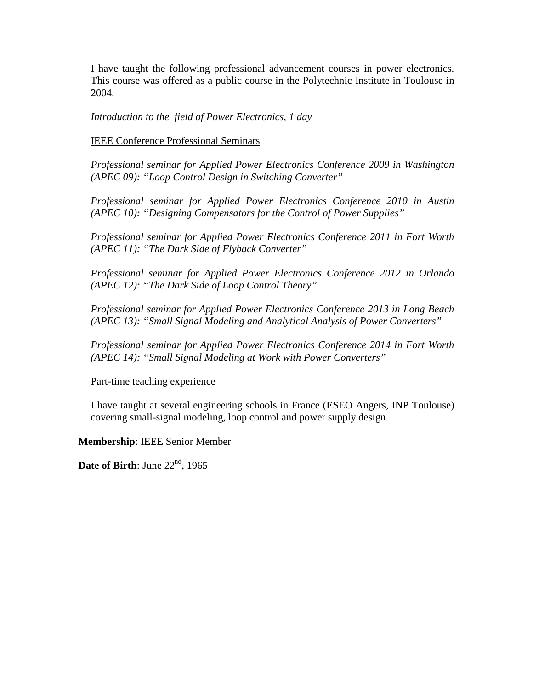I have taught the following professional advancement courses in power electronics. This course was offered as a public course in the Polytechnic Institute in Toulouse in 2004.

*Introduction to the field of Power Electronics, 1 day* 

IEEE Conference Professional Seminars

*Professional seminar for Applied Power Electronics Conference 2009 in Washington (APEC 09): "Loop Control Design in Switching Converter"* 

*Professional seminar for Applied Power Electronics Conference 2010 in Austin (APEC 10): "Designing Compensators for the Control of Power Supplies"* 

*Professional seminar for Applied Power Electronics Conference 2011 in Fort Worth (APEC 11): "The Dark Side of Flyback Converter"* 

*Professional seminar for Applied Power Electronics Conference 2012 in Orlando (APEC 12): "The Dark Side of Loop Control Theory"* 

*Professional seminar for Applied Power Electronics Conference 2013 in Long Beach (APEC 13): "Small Signal Modeling and Analytical Analysis of Power Converters"* 

*Professional seminar for Applied Power Electronics Conference 2014 in Fort Worth (APEC 14): "Small Signal Modeling at Work with Power Converters"* 

Part-time teaching experience

I have taught at several engineering schools in France (ESEO Angers, INP Toulouse) covering small-signal modeling, loop control and power supply design.

**Membership**: IEEE Senior Member

**Date of Birth**: June  $22<sup>nd</sup>$ , 1965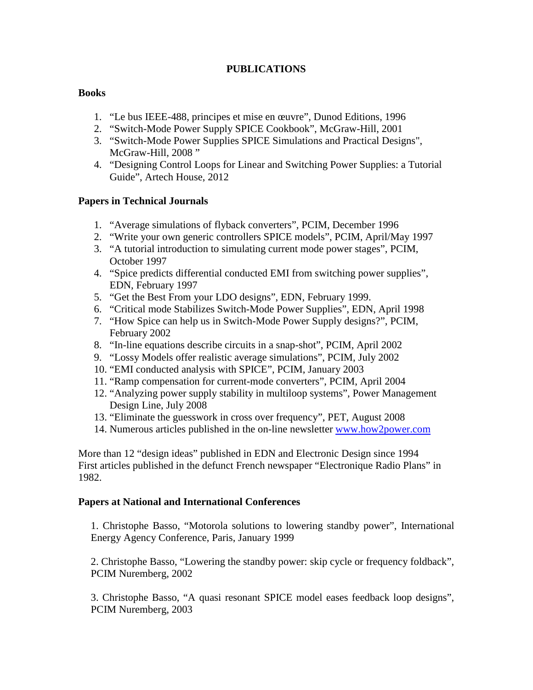# **PUBLICATIONS**

# **Books**

- 1. "Le bus IEEE-488, principes et mise en œuvre", Dunod Editions, 1996
- 2. "Switch-Mode Power Supply SPICE Cookbook", McGraw-Hill, 2001
- 3. "Switch-Mode Power Supplies SPICE Simulations and Practical Designs", McGraw-Hill, 2008"
- 4. "Designing Control Loops for Linear and Switching Power Supplies: a Tutorial Guide", Artech House, 2012

# **Papers in Technical Journals**

- 1. "Average simulations of flyback converters", PCIM, December 1996
- 2. "Write your own generic controllers SPICE models", PCIM, April/May 1997
- 3. "A tutorial introduction to simulating current mode power stages", PCIM, October 1997
- 4. "Spice predicts differential conducted EMI from switching power supplies", EDN, February 1997
- 5. "Get the Best From your LDO designs", EDN, February 1999.
- 6. "Critical mode Stabilizes Switch-Mode Power Supplies", EDN, April 1998
- 7. "How Spice can help us in Switch-Mode Power Supply designs?", PCIM, February 2002
- 8. "In-line equations describe circuits in a snap-shot", PCIM, April 2002
- 9. "Lossy Models offer realistic average simulations", PCIM, July 2002
- 10. "EMI conducted analysis with SPICE", PCIM, January 2003
- 11. "Ramp compensation for current-mode converters", PCIM, April 2004
- 12. "Analyzing power supply stability in multiloop systems", Power Management Design Line, July 2008
- 13. "Eliminate the guesswork in cross over frequency", PET, August 2008
- 14. Numerous articles published in the on-line newsletter www.how2power.com

More than 12 "design ideas" published in EDN and Electronic Design since 1994 First articles published in the defunct French newspaper "Electronique Radio Plans" in 1982.

### **Papers at National and International Conferences**

1. Christophe Basso, "Motorola solutions to lowering standby power", International Energy Agency Conference, Paris, January 1999

2. Christophe Basso, "Lowering the standby power: skip cycle or frequency foldback", PCIM Nuremberg, 2002

3. Christophe Basso, "A quasi resonant SPICE model eases feedback loop designs", PCIM Nuremberg, 2003